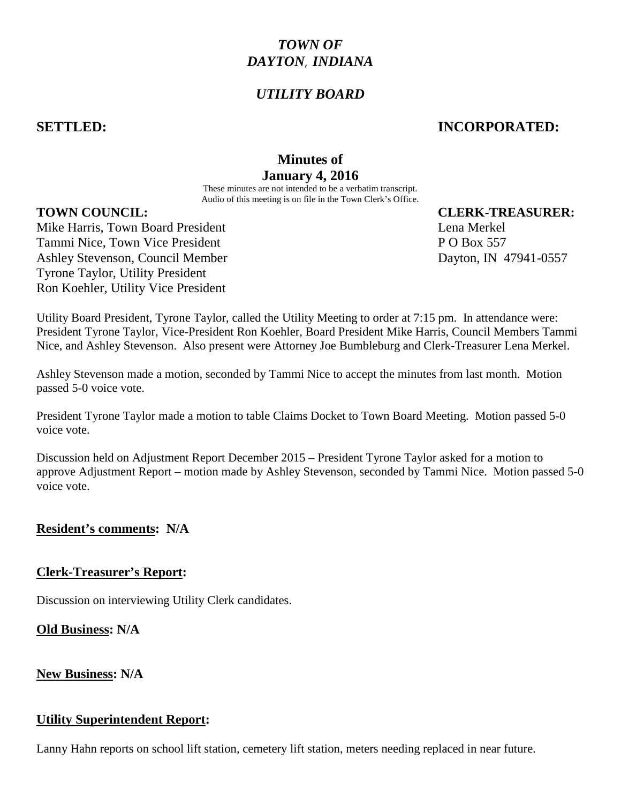# *TOWN OF DAYTON*, *INDIANA*

# *UTILITY BOARD*

## **SETTLED: INCORPORATED:**

# **Minutes of January 4, 2016**

These minutes are not intended to be a verbatim transcript. Audio of this meeting is on file in the Town Clerk's Office.

## **TOWN COUNCIL: CLERK-TREASURER:**

Mike Harris, Town Board President Lena Merkel Changes and Lena Merkel Tammi Nice, Town Vice President **P O Box 557** Ashley Stevenson, Council Member Dayton, IN 47941-0557 Tyrone Taylor, Utility President Ron Koehler, Utility Vice President

Utility Board President, Tyrone Taylor, called the Utility Meeting to order at 7:15 pm. In attendance were: President Tyrone Taylor, Vice-President Ron Koehler, Board President Mike Harris, Council Members Tammi Nice, and Ashley Stevenson. Also present were Attorney Joe Bumbleburg and Clerk-Treasurer Lena Merkel.

Ashley Stevenson made a motion, seconded by Tammi Nice to accept the minutes from last month. Motion passed 5-0 voice vote.

President Tyrone Taylor made a motion to table Claims Docket to Town Board Meeting. Motion passed 5-0 voice vote.

Discussion held on Adjustment Report December 2015 – President Tyrone Taylor asked for a motion to approve Adjustment Report – motion made by Ashley Stevenson, seconded by Tammi Nice. Motion passed 5-0 voice vote.

## **Resident's comments: N/A**

## **Clerk-Treasurer's Report:**

Discussion on interviewing Utility Clerk candidates.

**Old Business: N/A**

## **New Business: N/A**

## **Utility Superintendent Report:**

Lanny Hahn reports on school lift station, cemetery lift station, meters needing replaced in near future.